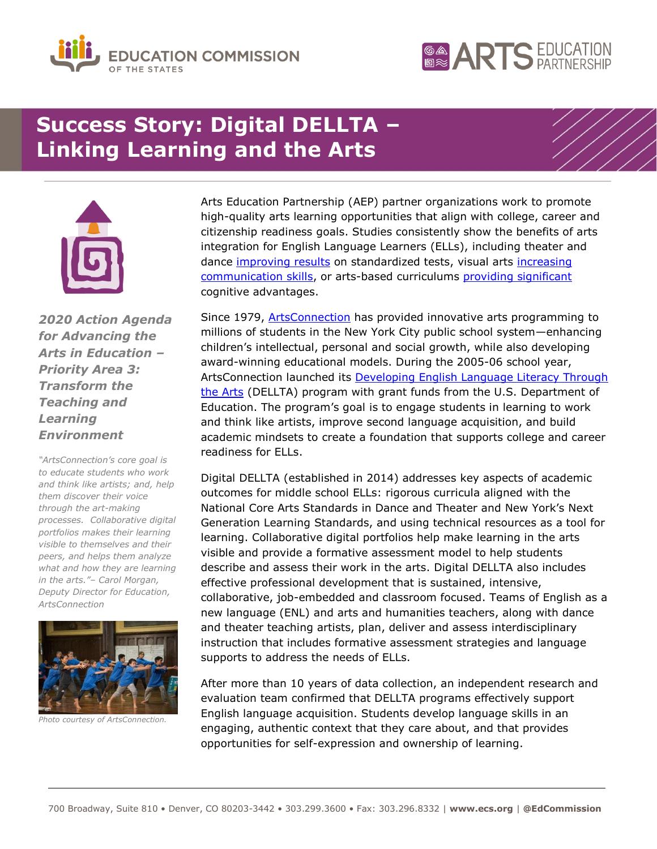



# **Success Story: Digital DELLTA – Linking Learning and the Arts**



*2020 Action Agenda for Advancing the Arts in Education – Priority Area 3: Transform the Teaching and Learning Environment*

*"ArtsConnection's core goal is to educate students who work and think like artists; and, help them discover their voice through the art-making processes. Collaborative digital portfolios makes their learning visible to themselves and their peers, and helps them analyze what and how they are learning in the arts."– Carol Morgan, Deputy Director for Education, ArtsConnection*



*Photo courtesy of ArtsConnection.*

Arts Education Partnership (AEP) partner organizations work to promote high-quality arts learning opportunities that align with college, career and citizenship readiness goals. Studies consistently show the benefits of arts integration for English Language Learners (ELLs), including theater and dance [improving results](http://www.artsedsearch.org/summaries/increasing-the-school-engagement-and-oral-language-skills-of-ells-through-arts-integration-in-the-primary-grades) on standardized tests, visual arts increasing [communication skills,](http://www.artsedsearch.org/summaries/dual-diaspora-and-barrio-art-art-as-an-avenue-for-learning-english) or arts-based curriculums [providing significant](http://www.artsedsearch.org/summaries/worlds-together-words-apart-an-assessment-of-the-effectiveness-of-arts-based-curriculum-for-second-language-learners) cognitive advantages.

Since 1979, **ArtsConnection** has provided innovative arts programming to millions of students in the New York City public school system—enhancing children's intellectual, personal and social growth, while also developing award-winning educational models. During the 2005-06 school year, ArtsConnection launched its **Developing English Language Literacy Through** [the Arts](https://artsconnection.org/resources/dellta/) (DELLTA) program with grant funds from the U.S. Department of Education. The program's goal is to engage students in learning to work and think like artists, improve second language acquisition, and build academic mindsets to create a foundation that supports college and career readiness for ELLs.

Digital DELLTA (established in 2014) addresses key aspects of academic outcomes for middle school ELLs: rigorous curricula aligned with the National Core Arts Standards in Dance and Theater and New York's Next Generation Learning Standards, and using technical resources as a tool for learning. Collaborative digital portfolios help make learning in the arts visible and provide a formative assessment model to help students describe and assess their work in the arts. Digital DELLTA also includes effective professional development that is sustained, intensive, collaborative, job-embedded and classroom focused. Teams of English as a new language (ENL) and arts and humanities teachers, along with dance and theater teaching artists, plan, deliver and assess interdisciplinary instruction that includes formative assessment strategies and language supports to address the needs of ELLs.

After more than 10 years of data collection, an independent research and evaluation team confirmed that DELLTA programs effectively support English language acquisition. Students develop language skills in an engaging, authentic context that they care about, and that provides opportunities for self-expression and ownership of learning.